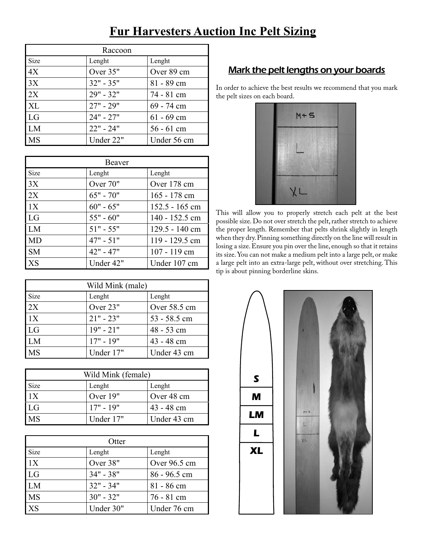| Raccoon     |             |              |
|-------------|-------------|--------------|
| <b>Size</b> | Lenght      | Lenght       |
| 4X          | Over 35"    | Over 89 cm   |
| 3X          | $32" - 35"$ | 81 - 89 cm   |
| 2X          | $29" - 32"$ | 74 - 81 cm   |
| XL          | $27" - 29"$ | 69 - 74 cm   |
| LG          | $24" - 27"$ | $61 - 69$ cm |
| LM          | $22" - 24"$ | $56 - 61$ cm |
| <b>MS</b>   | Under 22"   | Under 56 cm  |

| Beaver    |             |                  |
|-----------|-------------|------------------|
| Size      | Lenght      | Lenght           |
| 3X        | Over 70"    | Over 178 cm      |
| 2X        | $65" - 70"$ | $165 - 178$ cm   |
| 1X        | $60" - 65"$ | $152.5 - 165$ cm |
| LG        | $55" - 60"$ | 140 - 152.5 cm   |
| LM        | $51" - 55"$ | 129.5 - 140 cm   |
| MD        | $47" - 51"$ | 119 - 129.5 cm   |
| <b>SM</b> | $42" - 47"$ | $107 - 119$ cm   |
| XS        | Under 42"   | Under 107 cm     |

| Wild Mink (male) |             |              |
|------------------|-------------|--------------|
| <b>Size</b>      | Lenght      | Lenght       |
| 2X               | Over 23"    | Over 58.5 cm |
| 1X               | $21" - 23"$ | 53 - 58.5 cm |
| LG               | $19" - 21"$ | $48 - 53$ cm |
| LM.              | $17" - 19"$ | $43 - 48$ cm |
| MS               | Under 17"   | Under 43 cm  |

| Wild Mink (female) |             |              |
|--------------------|-------------|--------------|
| <b>Size</b>        | Lenght      | Lenght       |
| $\overline{11}X$   | Over 19"    | Over 48 cm   |
| LG                 | $17" - 19"$ | $43 - 48$ cm |
| <b>MS</b>          | Under 17"   | Under 43 cm  |

| Otter     |             |                |
|-----------|-------------|----------------|
| Size      | Lenght      | Lenght         |
| 1X        | Over 38"    | Over $96.5$ cm |
| LG        | $34" - 38"$ | $86 - 96.5$ cm |
| LM        | $32" - 34"$ | $81 - 86$ cm   |
| <b>MS</b> | $30" - 32"$ | 76 - 81 cm     |
| XS        | Under 30"   | Under 76 cm    |

## **Fur Harvesters Auction Inc Pelt Sizing**

## Mark the pelt lengths on your boards

In order to achieve the best results we recommend that you mark the pelt sizes on each board.



This will allow you to properly stretch each pelt at the best possible size. Do not over stretch the pelt, rather stretch to achieve the proper length. Remember that pelts shrink slightly in length when they dry. Pinning something directly on the line will result in losing a size. Ensure you pin over the line, enough so that it retains its size. You can not make a medium pelt into a large pelt, or make a large pelt into an extra-large pelt, without over stretching. This tip is about pinning borderline skins.

> **M LM L XL S**